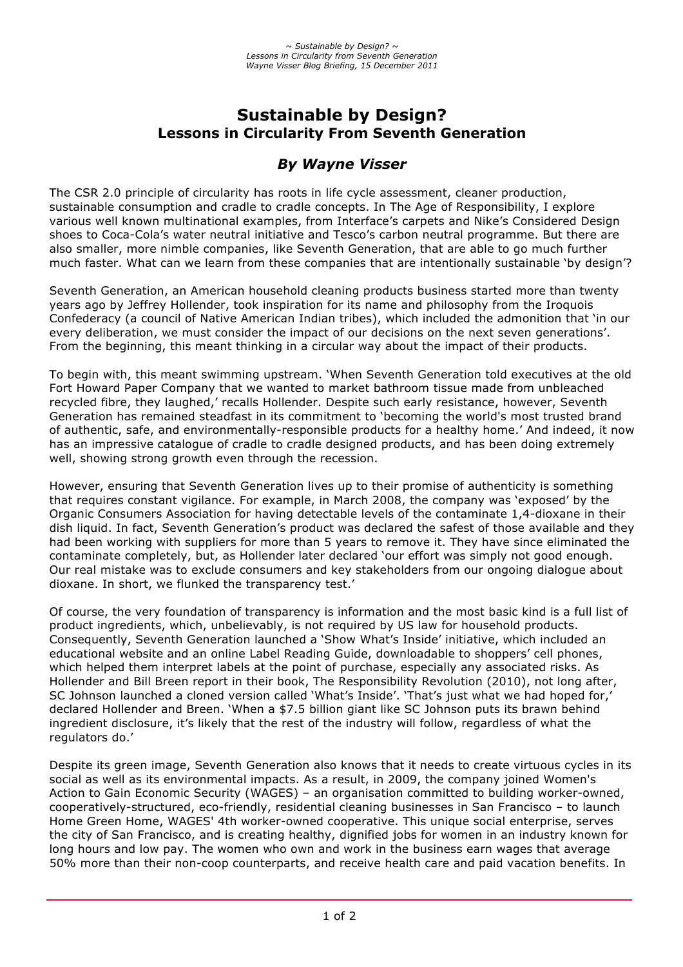# **Sustainable by Design? Lessons in Circularity From Seventh Generation**

## *By Wayne Visser*

The CSR 2.0 principle of circularity has roots in life cycle assessment, cleaner production, sustainable consumption and cradle to cradle concepts. In The Age of Responsibility, I explore various well known multinational examples, from Interface's carpets and Nike's Considered Design shoes to Coca-Cola's water neutral initiative and Tesco's carbon neutral programme. But there are also smaller, more nimble companies, like Seventh Generation, that are able to go much further much faster. What can we learn from these companies that are intentionally sustainable 'by design'?

Seventh Generation, an American household cleaning products business started more than twenty years ago by Jeffrey Hollender, took inspiration for its name and philosophy from the Iroquois Confederacy (a council of Native American Indian tribes), which included the admonition that 'in our every deliberation, we must consider the impact of our decisions on the next seven generations'. From the beginning, this meant thinking in a circular way about the impact of their products.

To begin with, this meant swimming upstream. 'When Seventh Generation told executives at the old Fort Howard Paper Company that we wanted to market bathroom tissue made from unbleached recycled fibre, they laughed,' recalls Hollender. Despite such early resistance, however, Seventh Generation has remained steadfast in its commitment to 'becoming the world's most trusted brand of authentic, safe, and environmentally-responsible products for a healthy home.' And indeed, it now has an impressive catalogue of cradle to cradle designed products, and has been doing extremely well, showing strong growth even through the recession.

However, ensuring that Seventh Generation lives up to their promise of authenticity is something that requires constant vigilance. For example, in March 2008, the company was 'exposed' by the Organic Consumers Association for having detectable levels of the contaminate 1,4-dioxane in their dish liquid. In fact, Seventh Generation's product was declared the safest of those available and they had been working with suppliers for more than 5 years to remove it. They have since eliminated the contaminate completely, but, as Hollender later declared 'our effort was simply not good enough. Our real mistake was to exclude consumers and key stakeholders from our ongoing dialogue about dioxane. In short, we flunked the transparency test.'

Of course, the very foundation of transparency is information and the most basic kind is a full list of product ingredients, which, unbelievably, is not required by US law for household products. Consequently, Seventh Generation launched a 'Show What's Inside' initiative, which included an educational website and an online Label Reading Guide, downloadable to shoppers' cell phones, which helped them interpret labels at the point of purchase, especially any associated risks. As Hollender and Bill Breen report in their book, The Responsibility Revolution (2010), not long after, SC Johnson launched a cloned version called 'What's Inside'. 'That's just what we had hoped for,' declared Hollender and Breen. 'When a \$7.5 billion giant like SC Johnson puts its brawn behind ingredient disclosure, it's likely that the rest of the industry will follow, regardless of what the regulators do.'

Despite its green image, Seventh Generation also knows that it needs to create virtuous cycles in its social as well as its environmental impacts. As a result, in 2009, the company joined Women's Action to Gain Economic Security (WAGES) – an organisation committed to building worker-owned, cooperatively-structured, eco-friendly, residential cleaning businesses in San Francisco – to launch Home Green Home, WAGES' 4th worker-owned cooperative. This unique social enterprise, serves the city of San Francisco, and is creating healthy, dignified jobs for women in an industry known for long hours and low pay. The women who own and work in the business earn wages that average 50% more than their non-coop counterparts, and receive health care and paid vacation benefits. In